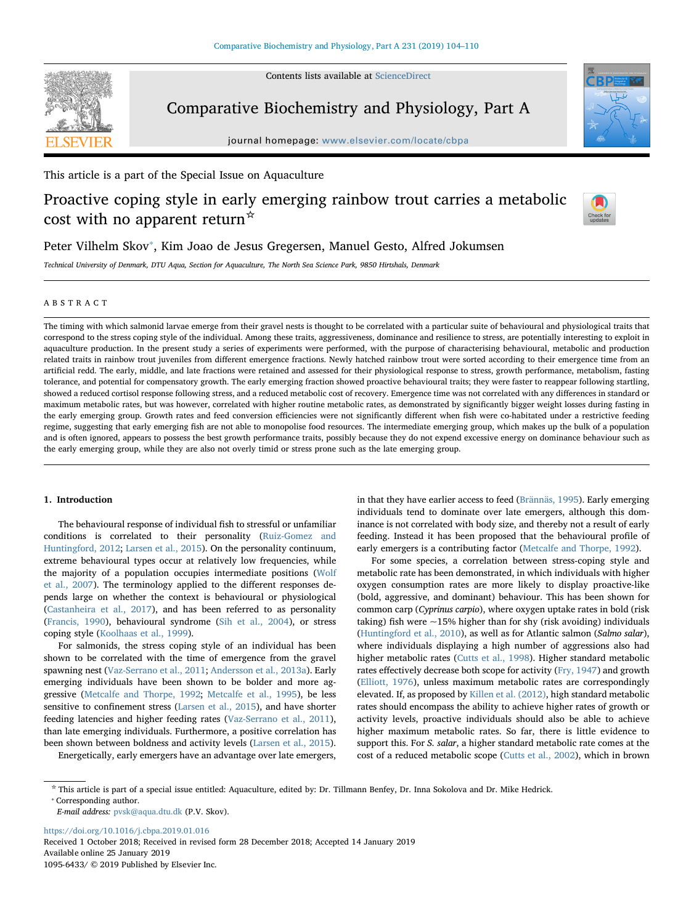

Contents lists available at [ScienceDirect](http://www.sciencedirect.com/science/journal/10956433)

## Comparative Biochemistry and Physiology, Part A

journal homepage: [www.elsevier.com/locate/cbpa](https://www.elsevier.com/locate/cbpa)

This article is a part of the Special Issue on Aquaculture

# Proactive coping style in early emerging rainbow trout carries a metabolic cost with no apparent return<sup>☆</sup>



## Peter Vilhelm Skov<sup>\*</sup>, Kim Joao de Jesus Gregersen, Manuel Gesto, Alfred Jokumsen

Technical University of Denmark, DTU Aqua, Section for Aquaculture, The North Sea Science Park, 9850 Hirtshals, Denmark

#### ABSTRACT

The timing with which salmonid larvae emerge from their gravel nests is thought to be correlated with a particular suite of behavioural and physiological traits that correspond to the stress coping style of the individual. Among these traits, aggressiveness, dominance and resilience to stress, are potentially interesting to exploit in aquaculture production. In the present study a series of experiments were performed, with the purpose of characterising behavioural, metabolic and production related traits in rainbow trout juveniles from different emergence fractions. Newly hatched rainbow trout were sorted according to their emergence time from an artificial redd. The early, middle, and late fractions were retained and assessed for their physiological response to stress, growth performance, metabolism, fasting tolerance, and potential for compensatory growth. The early emerging fraction showed proactive behavioural traits; they were faster to reappear following startling, showed a reduced cortisol response following stress, and a reduced metabolic cost of recovery. Emergence time was not correlated with any differences in standard or maximum metabolic rates, but was however, correlated with higher routine metabolic rates, as demonstrated by significantly bigger weight losses during fasting in the early emerging group. Growth rates and feed conversion efficiencies were not significantly different when fish were co-habitated under a restrictive feeding regime, suggesting that early emerging fish are not able to monopolise food resources. The intermediate emerging group, which makes up the bulk of a population and is often ignored, appears to possess the best growth performance traits, possibly because they do not expend excessive energy on dominance behaviour such as the early emerging group, while they are also not overly timid or stress prone such as the late emerging group.

## 1. Introduction

The behavioural response of individual fish to stressful or unfamiliar conditions is correlated to their personality ([Ruiz-Gomez and](#page-5-0) [Huntingford, 2012](#page-5-0); [Larsen et al., 2015](#page-5-1)). On the personality continuum, extreme behavioural types occur at relatively low frequencies, while the majority of a population occupies intermediate positions ([Wolf](#page-6-0) [et al., 2007](#page-6-0)). The terminology applied to the different responses depends large on whether the context is behavioural or physiological ([Castanheira et al., 2017](#page-5-2)), and has been referred to as personality ([Francis, 1990](#page-5-3)), behavioural syndrome [\(Sih et al., 2004](#page-5-4)), or stress coping style ([Koolhaas et al., 1999](#page-5-5)).

For salmonids, the stress coping style of an individual has been shown to be correlated with the time of emergence from the gravel spawning nest [\(Vaz-Serrano et al., 2011;](#page-6-1) [Andersson et al., 2013a](#page-5-6)). Early emerging individuals have been shown to be bolder and more aggressive [\(Metcalfe and Thorpe, 1992](#page-5-7); [Metcalfe et al., 1995](#page-5-8)), be less sensitive to confinement stress ([Larsen et al., 2015\)](#page-5-1), and have shorter feeding latencies and higher feeding rates ([Vaz-Serrano et al., 2011](#page-6-1)), than late emerging individuals. Furthermore, a positive correlation has been shown between boldness and activity levels [\(Larsen et al., 2015](#page-5-1)).

Energetically, early emergers have an advantage over late emergers,

in that they have earlier access to feed [\(Brännäs, 1995\)](#page-5-9). Early emerging individuals tend to dominate over late emergers, although this dominance is not correlated with body size, and thereby not a result of early feeding. Instead it has been proposed that the behavioural profile of early emergers is a contributing factor [\(Metcalfe and Thorpe, 1992\)](#page-5-7).

For some species, a correlation between stress-coping style and metabolic rate has been demonstrated, in which individuals with higher oxygen consumption rates are more likely to display proactive-like (bold, aggressive, and dominant) behaviour. This has been shown for common carp (Cyprinus carpio), where oxygen uptake rates in bold (risk taking) fish were  $\sim$ 15% higher than for shy (risk avoiding) individuals ([Huntingford et al., 2010\)](#page-5-10), as well as for Atlantic salmon (Salmo salar), where individuals displaying a high number of aggressions also had higher metabolic rates [\(Cutts et al., 1998\)](#page-5-11). Higher standard metabolic rates effectively decrease both scope for activity ([Fry, 1947\)](#page-5-12) and growth ([Elliott, 1976\)](#page-5-13), unless maximum metabolic rates are correspondingly elevated. If, as proposed by [Killen et al. \(2012\),](#page-5-14) high standard metabolic rates should encompass the ability to achieve higher rates of growth or activity levels, proactive individuals should also be able to achieve higher maximum metabolic rates. So far, there is little evidence to support this. For S. salar, a higher standard metabolic rate comes at the cost of a reduced metabolic scope [\(Cutts et al., 2002\)](#page-5-15), which in brown

⁎ Corresponding author.

E-mail address: [pvsk@aqua.dtu.dk](mailto:pvsk@aqua.dtu.dk) (P.V. Skov).

<https://doi.org/10.1016/j.cbpa.2019.01.016> Received 1 October 2018; Received in revised form 28 December 2018; Accepted 14 January 2019 Available online 25 January 2019 1095-6433/ © 2019 Published by Elsevier Inc.

<span id="page-0-0"></span><sup>☆</sup> This article is part of a special issue entitled: Aquaculture, edited by: Dr. Tillmann Benfey, Dr. Inna Sokolova and Dr. Mike Hedrick.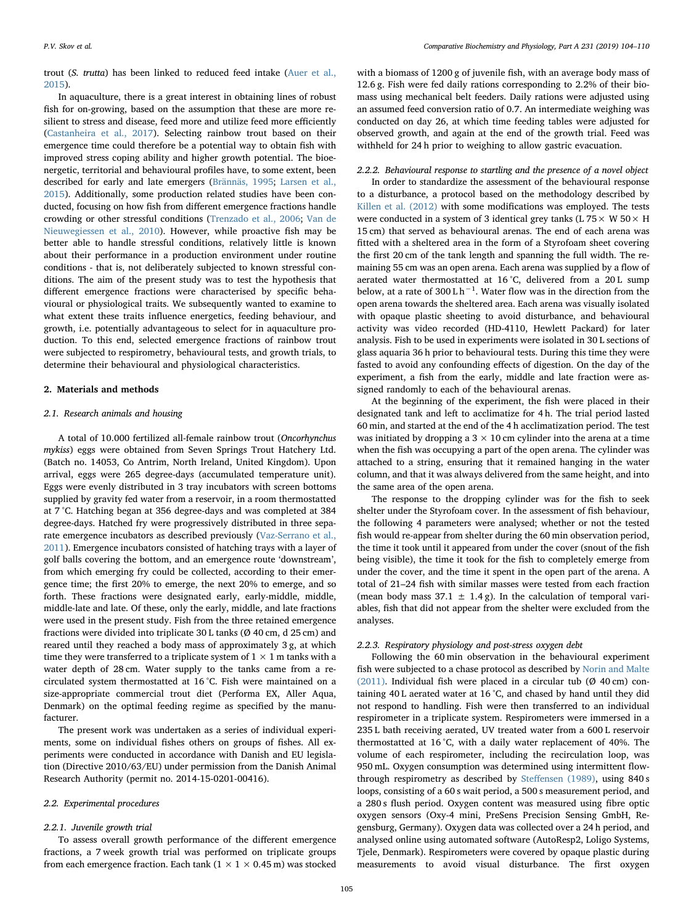trout (S. trutta) has been linked to reduced feed intake [\(Auer et al.,](#page-5-16) [2015\)](#page-5-16).

In aquaculture, there is a great interest in obtaining lines of robust fish for on-growing, based on the assumption that these are more resilient to stress and disease, feed more and utilize feed more efficiently ([Castanheira et al., 2017\)](#page-5-2). Selecting rainbow trout based on their emergence time could therefore be a potential way to obtain fish with improved stress coping ability and higher growth potential. The bioenergetic, territorial and behavioural profiles have, to some extent, been described for early and late emergers ([Brännäs, 1995;](#page-5-9) [Larsen et al.,](#page-5-1) [2015\)](#page-5-1). Additionally, some production related studies have been conducted, focusing on how fish from different emergence fractions handle crowding or other stressful conditions [\(Trenzado et al., 2006](#page-6-2); [Van de](#page-6-3) [Nieuwegiessen et al., 2010](#page-6-3)). However, while proactive fish may be better able to handle stressful conditions, relatively little is known about their performance in a production environment under routine conditions - that is, not deliberately subjected to known stressful conditions. The aim of the present study was to test the hypothesis that different emergence fractions were characterised by specific behavioural or physiological traits. We subsequently wanted to examine to what extent these traits influence energetics, feeding behaviour, and growth, i.e. potentially advantageous to select for in aquaculture production. To this end, selected emergence fractions of rainbow trout were subjected to respirometry, behavioural tests, and growth trials, to determine their behavioural and physiological characteristics.

### 2. Materials and methods

## 2.1. Research animals and housing

A total of 10.000 fertilized all-female rainbow trout (Oncorhynchus mykiss) eggs were obtained from Seven Springs Trout Hatchery Ltd. (Batch no. 14053, Co Antrim, North Ireland, United Kingdom). Upon arrival, eggs were 265 degree-days (accumulated temperature unit). Eggs were evenly distributed in 3 tray incubators with screen bottoms supplied by gravity fed water from a reservoir, in a room thermostatted at 7 °C. Hatching began at 356 degree-days and was completed at 384 degree-days. Hatched fry were progressively distributed in three separate emergence incubators as described previously [\(Vaz-Serrano et al.,](#page-6-1) [2011\)](#page-6-1). Emergence incubators consisted of hatching trays with a layer of golf balls covering the bottom, and an emergence route 'downstream', from which emerging fry could be collected, according to their emergence time; the first 20% to emerge, the next 20% to emerge, and so forth. These fractions were designated early, early-middle, middle, middle-late and late. Of these, only the early, middle, and late fractions were used in the present study. Fish from the three retained emergence fractions were divided into triplicate 30 L tanks (Ø 40 cm, d 25 cm) and reared until they reached a body mass of approximately 3 g, at which time they were transferred to a triplicate system of  $1 \times 1$  m tanks with a water depth of 28 cm. Water supply to the tanks came from a recirculated system thermostatted at 16 °C. Fish were maintained on a size-appropriate commercial trout diet (Performa EX, Aller Aqua, Denmark) on the optimal feeding regime as specified by the manufacturer.

The present work was undertaken as a series of individual experiments, some on individual fishes others on groups of fishes. All experiments were conducted in accordance with Danish and EU legislation (Directive 2010/63/EU) under permission from the Danish Animal Research Authority (permit no. 2014-15-0201-00416).

#### 2.2. Experimental procedures

#### 2.2.1. Juvenile growth trial

To assess overall growth performance of the different emergence fractions, a 7 week growth trial was performed on triplicate groups from each emergence fraction. Each tank  $(1 \times 1 \times 0.45 \text{ m})$  was stocked

with a biomass of 1200 g of juvenile fish, with an average body mass of 12.6 g. Fish were fed daily rations corresponding to 2.2% of their biomass using mechanical belt feeders. Daily rations were adjusted using an assumed feed conversion ratio of 0.7. An intermediate weighing was conducted on day 26, at which time feeding tables were adjusted for observed growth, and again at the end of the growth trial. Feed was withheld for 24 h prior to weighing to allow gastric evacuation.

## 2.2.2. Behavioural response to startling and the presence of a novel object

In order to standardize the assessment of the behavioural response to a disturbance, a protocol based on the methodology described by [Killen et al. \(2012\)](#page-5-14) with some modifications was employed. The tests were conducted in a system of 3 identical grey tanks (L  $75 \times W 50 \times H$ 15 cm) that served as behavioural arenas. The end of each arena was fitted with a sheltered area in the form of a Styrofoam sheet covering the first 20 cm of the tank length and spanning the full width. The remaining 55 cm was an open arena. Each arena was supplied by a flow of aerated water thermostatted at 16 °C, delivered from a 20 L sump below, at a rate of 300 L h<sup>-1</sup>. Water flow was in the direction from the open arena towards the sheltered area. Each arena was visually isolated with opaque plastic sheeting to avoid disturbance, and behavioural activity was video recorded (HD-4110, Hewlett Packard) for later analysis. Fish to be used in experiments were isolated in 30 L sections of glass aquaria 36 h prior to behavioural tests. During this time they were fasted to avoid any confounding effects of digestion. On the day of the experiment, a fish from the early, middle and late fraction were assigned randomly to each of the behavioural arenas.

At the beginning of the experiment, the fish were placed in their designated tank and left to acclimatize for 4 h. The trial period lasted 60 min, and started at the end of the 4 h acclimatization period. The test was initiated by dropping a  $3 \times 10$  cm cylinder into the arena at a time when the fish was occupying a part of the open arena. The cylinder was attached to a string, ensuring that it remained hanging in the water column, and that it was always delivered from the same height, and into the same area of the open arena.

The response to the dropping cylinder was for the fish to seek shelter under the Styrofoam cover. In the assessment of fish behaviour, the following 4 parameters were analysed; whether or not the tested fish would re-appear from shelter during the 60 min observation period, the time it took until it appeared from under the cover (snout of the fish being visible), the time it took for the fish to completely emerge from under the cover, and the time it spent in the open part of the arena. A total of 21–24 fish with similar masses were tested from each fraction (mean body mass  $37.1 \pm 1.4$  g). In the calculation of temporal variables, fish that did not appear from the shelter were excluded from the analyses.

#### 2.2.3. Respiratory physiology and post-stress oxygen debt

Following the 60 min observation in the behavioural experiment fish were subjected to a chase protocol as described by [Norin and Malte](#page-5-17) [\(2011\).](#page-5-17) Individual fish were placed in a circular tub (Ø 40 cm) containing 40 L aerated water at 16 °C, and chased by hand until they did not respond to handling. Fish were then transferred to an individual respirometer in a triplicate system. Respirometers were immersed in a 235 L bath receiving aerated, UV treated water from a 600 L reservoir thermostatted at 16 °C, with a daily water replacement of 40%. The volume of each respirometer, including the recirculation loop, was 950 mL. Oxygen consumption was determined using intermittent flowthrough respirometry as described by Steff[ensen \(1989\)](#page-6-4), using 840 s loops, consisting of a 60 s wait period, a 500 s measurement period, and a 280 s flush period. Oxygen content was measured using fibre optic oxygen sensors (Oxy-4 mini, PreSens Precision Sensing GmbH, Regensburg, Germany). Oxygen data was collected over a 24 h period, and analysed online using automated software (AutoResp2, Loligo Systems, Tjele, Denmark). Respirometers were covered by opaque plastic during measurements to avoid visual disturbance. The first oxygen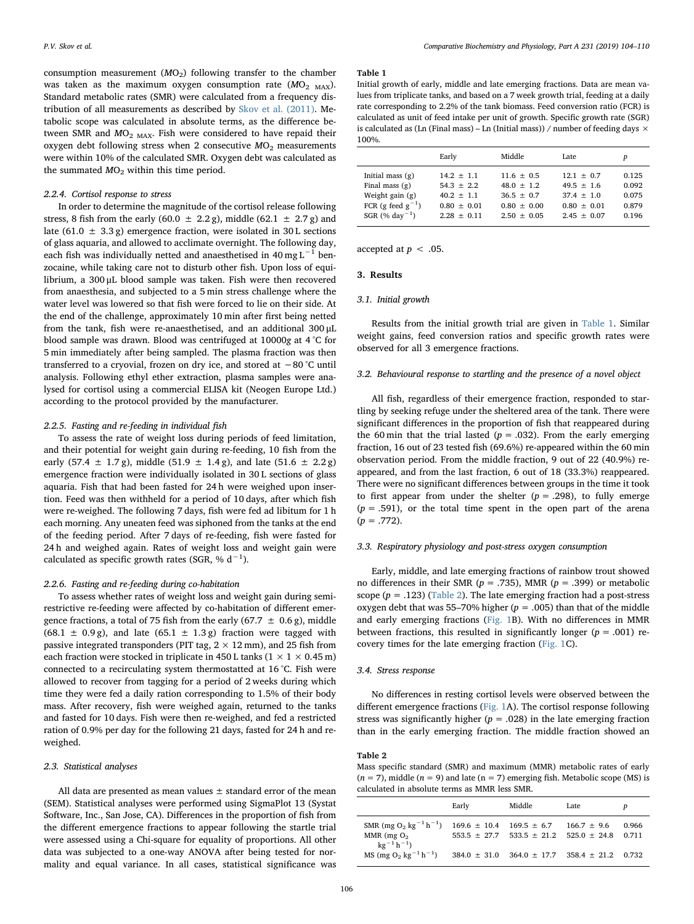consumption measurement  $(MO<sub>2</sub>)$  following transfer to the chamber was taken as the maximum oxygen consumption rate  $(MO<sub>2 MAX</sub>)$ . Standard metabolic rates (SMR) were calculated from a frequency distribution of all measurements as described by [Skov et al. \(2011\)](#page-6-5). Metabolic scope was calculated in absolute terms, as the difference between SMR and  $MO_{2 \text{ MAX}}$ . Fish were considered to have repaid their oxygen debt following stress when 2 consecutive  $MO<sub>2</sub>$  measurements were within 10% of the calculated SMR. Oxygen debt was calculated as the summated  $MO<sub>2</sub>$  within this time period.

## 2.2.4. Cortisol response to stress

In order to determine the magnitude of the cortisol release following stress, 8 fish from the early (60.0  $\pm$  2.2 g), middle (62.1  $\pm$  2.7 g) and late (61.0  $\pm$  3.3 g) emergence fraction, were isolated in 30 L sections of glass aquaria, and allowed to acclimate overnight. The following day, each fish was individually netted and anaesthetised in 40 mg  $L^{-1}$  benzocaine, while taking care not to disturb other fish. Upon loss of equilibrium, a 300 μL blood sample was taken. Fish were then recovered from anaesthesia, and subjected to a 5 min stress challenge where the water level was lowered so that fish were forced to lie on their side. At the end of the challenge, approximately 10 min after first being netted from the tank, fish were re-anaesthetised, and an additional 300 μL blood sample was drawn. Blood was centrifuged at 10000g at 4 °C for 5 min immediately after being sampled. The plasma fraction was then transferred to a cryovial, frozen on dry ice, and stored at −80 °C until analysis. Following ethyl ether extraction, plasma samples were analysed for cortisol using a commercial ELISA kit (Neogen Europe Ltd.) according to the protocol provided by the manufacturer.

## 2.2.5. Fasting and re-feeding in individual fish

To assess the rate of weight loss during periods of feed limitation, and their potential for weight gain during re-feeding, 10 fish from the early (57.4  $\pm$  1.7 g), middle (51.9  $\pm$  1.4 g), and late (51.6  $\pm$  2.2 g) emergence fraction were individually isolated in 30 L sections of glass aquaria. Fish that had been fasted for 24 h were weighed upon insertion. Feed was then withheld for a period of 10 days, after which fish were re-weighed. The following 7 days, fish were fed ad libitum for 1 h each morning. Any uneaten feed was siphoned from the tanks at the end of the feeding period. After 7 days of re-feeding, fish were fasted for 24 h and weighed again. Rates of weight loss and weight gain were calculated as specific growth rates (SGR, %  $\rm{d}^{-1}$ ).

#### 2.2.6. Fasting and re-feeding during co-habitation

To assess whether rates of weight loss and weight gain during semirestrictive re-feeding were affected by co-habitation of different emergence fractions, a total of 75 fish from the early (67.7  $\pm$  0.6 g), middle (68.1  $\pm$  0.9 g), and late (65.1  $\pm$  1.3 g) fraction were tagged with passive integrated transponders (PIT tag,  $2 \times 12$  mm), and 25 fish from each fraction were stocked in triplicate in 450 L tanks ( $1 \times 1 \times 0.45$  m) connected to a recirculating system thermostatted at 16 °C. Fish were allowed to recover from tagging for a period of 2 weeks during which time they were fed a daily ration corresponding to 1.5% of their body mass. After recovery, fish were weighed again, returned to the tanks and fasted for 10 days. Fish were then re-weighed, and fed a restricted ration of 0.9% per day for the following 21 days, fasted for 24 h and reweighed.

## 2.3. Statistical analyses

All data are presented as mean values  $\pm$  standard error of the mean (SEM). Statistical analyses were performed using SigmaPlot 13 (Systat Software, Inc., San Jose, CA). Differences in the proportion of fish from the different emergence fractions to appear following the startle trial were assessed using a Chi-square for equality of proportions. All other data was subjected to a one-way ANOVA after being tested for normality and equal variance. In all cases, statistical significance was

#### <span id="page-2-0"></span>Table 1

Initial growth of early, middle and late emerging fractions. Data are mean values from triplicate tanks, and based on a 7 week growth trial, feeding at a daily rate corresponding to 2.2% of the tank biomass. Feed conversion ratio (FCR) is calculated as unit of feed intake per unit of growth. Specific growth rate (SGR) is calculated as (Ln (Final mass) – Ln (Initial mass)) / number of feeding days  $\times$ 100%.

|                              | Early           | Middle         | Late           | p     |
|------------------------------|-----------------|----------------|----------------|-------|
| Initial mass $(g)$           | $14.2 + 1.1$    | $11.6 \pm 0.5$ | $12.1 + 0.7$   | 0.125 |
| Final mass $(g)$             | $54.3 + 2.2$    | $48.0 \pm 1.2$ | $49.5 + 1.6$   | 0.092 |
| Weight gain $(g)$            | $40.2 + 1.1$    | $36.5 + 0.7$   | $37.4 \pm 1.0$ | 0.075 |
| FCR (g feed $g^{-1}$ )       | $0.80 + 0.01$   | $0.80 + 0.00$  | $0.80 + 0.01$  | 0.879 |
| $SGR$ (% day <sup>-1</sup> ) | $2.28 \pm 0.11$ | $2.50 + 0.05$  | $2.45 + 0.07$  | 0.196 |

accepted at  $p < .05$ .

#### 3. Results

## 3.1. Initial growth

Results from the initial growth trial are given in [Table 1.](#page-2-0) Similar weight gains, feed conversion ratios and specific growth rates were observed for all 3 emergence fractions.

#### 3.2. Behavioural response to startling and the presence of a novel object

All fish, regardless of their emergence fraction, responded to startling by seeking refuge under the sheltered area of the tank. There were significant differences in the proportion of fish that reappeared during the 60 min that the trial lasted ( $p = .032$ ). From the early emerging fraction, 16 out of 23 tested fish (69.6%) re-appeared within the 60 min observation period. From the middle fraction, 9 out of 22 (40.9%) reappeared, and from the last fraction, 6 out of 18 (33.3%) reappeared. There were no significant differences between groups in the time it took to first appear from under the shelter ( $p = .298$ ), to fully emerge  $(p = .591)$ , or the total time spent in the open part of the arena  $(p = .772)$ .

#### 3.3. Respiratory physiology and post-stress oxygen consumption

Early, middle, and late emerging fractions of rainbow trout showed no differences in their SMR ( $p = .735$ ), MMR ( $p = .399$ ) or metabolic scope ( $p = .123$ ) [\(Table 2\)](#page-2-1). The late emerging fraction had a post-stress oxygen debt that was 55-70% higher ( $p = .005$ ) than that of the middle and early emerging fractions [\(Fig. 1](#page-3-0)B). With no differences in MMR between fractions, this resulted in significantly longer ( $p = .001$ ) recovery times for the late emerging fraction [\(Fig. 1C](#page-3-0)).

#### 3.4. Stress response

No differences in resting cortisol levels were observed between the different emergence fractions [\(Fig. 1A](#page-3-0)). The cortisol response following stress was significantly higher ( $p = .028$ ) in the late emerging fraction than in the early emerging fraction. The middle fraction showed an

#### <span id="page-2-1"></span>Table 2

Mass specific standard (SMR) and maximum (MMR) metabolic rates of early  $(n = 7)$ , middle  $(n = 9)$  and late  $(n = 7)$  emerging fish. Metabolic scope (MS) is calculated in absolute terms as MMR less SMR.

|                                                                                       | Early                                              | Middle                            | Late          |                |
|---------------------------------------------------------------------------------------|----------------------------------------------------|-----------------------------------|---------------|----------------|
| SMR (mg $O_2$ kg <sup>-1</sup> h <sup>-1</sup> )<br>MMR ( $mgO2$<br>$kg^{-1}h^{-1}$ ) | $169.6 \pm 10.4$ $169.5 \pm 6.7$<br>$553.5 + 27.7$ | $533.5 \pm 21.2$ 525.0 $\pm$ 24.8 | $166.7 + 9.6$ | 0.966<br>0.711 |
| MS (mg $O_2$ kg <sup>-1</sup> h <sup>-1</sup> )                                       | $384.0 \pm 31.0$                                   | $364.0 \pm 17.7$ 358.4 $\pm$ 21.2 |               | 0.732          |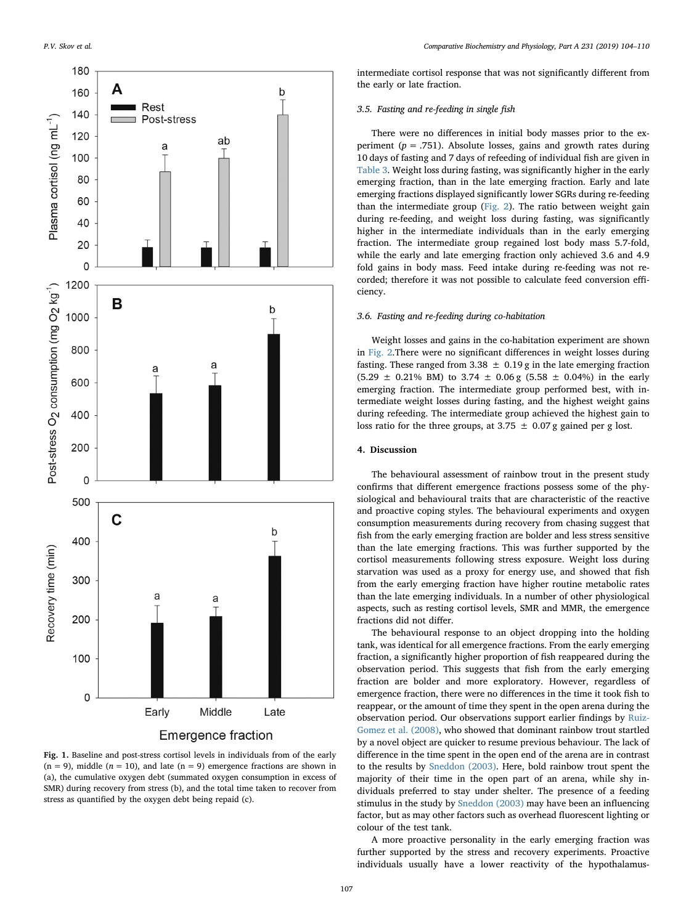<span id="page-3-0"></span>

## **Emergence fraction**

Fig. 1. Baseline and post-stress cortisol levels in individuals from of the early  $(n = 9)$ , middle  $(n = 10)$ , and late  $(n = 9)$  emergence fractions are shown in (a), the cumulative oxygen debt (summated oxygen consumption in excess of SMR) during recovery from stress (b), and the total time taken to recover from stress as quantified by the oxygen debt being repaid (c).

intermediate cortisol response that was not significantly different from the early or late fraction.

### 3.5. Fasting and re-feeding in single fish

There were no differences in initial body masses prior to the experiment ( $p = .751$ ). Absolute losses, gains and growth rates during 10 days of fasting and 7 days of refeeding of individual fish are given in [Table 3.](#page-4-0) Weight loss during fasting, was significantly higher in the early emerging fraction, than in the late emerging fraction. Early and late emerging fractions displayed significantly lower SGRs during re-feeding than the intermediate group ([Fig. 2\)](#page-4-1). The ratio between weight gain during re-feeding, and weight loss during fasting, was significantly higher in the intermediate individuals than in the early emerging fraction. The intermediate group regained lost body mass 5.7-fold, while the early and late emerging fraction only achieved 3.6 and 4.9 fold gains in body mass. Feed intake during re-feeding was not recorded; therefore it was not possible to calculate feed conversion efficiency.

## 3.6. Fasting and re-feeding during co-habitation

Weight losses and gains in the co-habitation experiment are shown in [Fig. 2.](#page-4-1)There were no significant differences in weight losses during fasting. These ranged from 3.38  $\pm$  0.19 g in the late emerging fraction  $(5.29 \pm 0.21\% \text{ BM})$  to 3.74  $\pm$  0.06 g (5.58  $\pm$  0.04%) in the early emerging fraction. The intermediate group performed best, with intermediate weight losses during fasting, and the highest weight gains during refeeding. The intermediate group achieved the highest gain to loss ratio for the three groups, at 3.75  $\pm$  0.07 g gained per g lost.

## 4. Discussion

The behavioural assessment of rainbow trout in the present study confirms that different emergence fractions possess some of the physiological and behavioural traits that are characteristic of the reactive and proactive coping styles. The behavioural experiments and oxygen consumption measurements during recovery from chasing suggest that fish from the early emerging fraction are bolder and less stress sensitive than the late emerging fractions. This was further supported by the cortisol measurements following stress exposure. Weight loss during starvation was used as a proxy for energy use, and showed that fish from the early emerging fraction have higher routine metabolic rates than the late emerging individuals. In a number of other physiological aspects, such as resting cortisol levels, SMR and MMR, the emergence fractions did not differ.

The behavioural response to an object dropping into the holding tank, was identical for all emergence fractions. From the early emerging fraction, a significantly higher proportion of fish reappeared during the observation period. This suggests that fish from the early emerging fraction are bolder and more exploratory. However, regardless of emergence fraction, there were no differences in the time it took fish to reappear, or the amount of time they spent in the open arena during the observation period. Our observations support earlier findings by [Ruiz-](#page-5-18)[Gomez et al. \(2008\),](#page-5-18) who showed that dominant rainbow trout startled by a novel object are quicker to resume previous behaviour. The lack of difference in the time spent in the open end of the arena are in contrast to the results by [Sneddon \(2003\).](#page-6-6) Here, bold rainbow trout spent the majority of their time in the open part of an arena, while shy individuals preferred to stay under shelter. The presence of a feeding stimulus in the study by [Sneddon \(2003\)](#page-6-6) may have been an influencing factor, but as may other factors such as overhead fluorescent lighting or colour of the test tank.

A more proactive personality in the early emerging fraction was further supported by the stress and recovery experiments. Proactive individuals usually have a lower reactivity of the hypothalamus-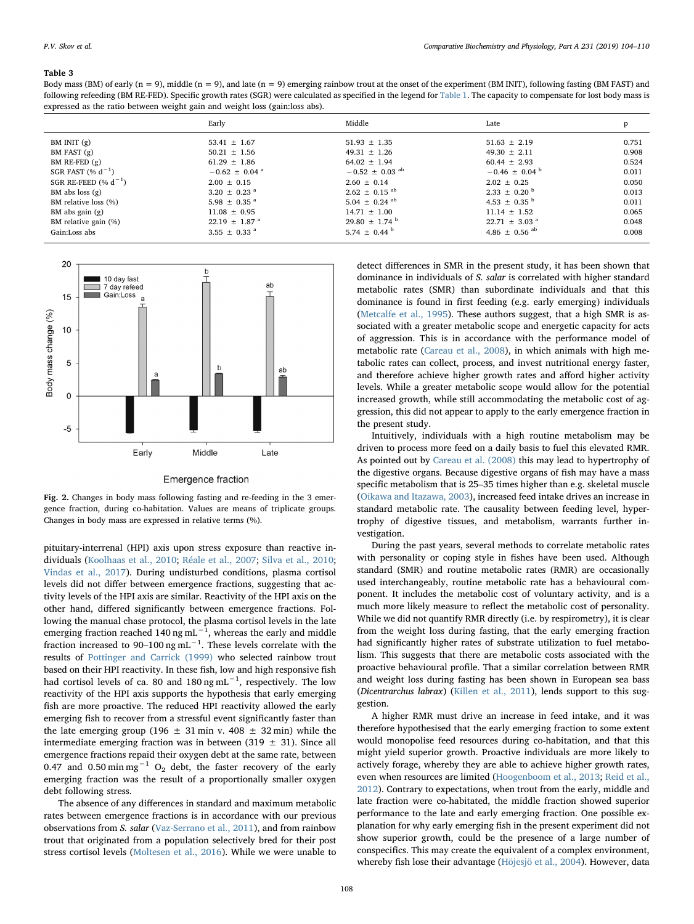#### <span id="page-4-0"></span>Table 3

Body mass (BM) of early (n = 9), middle (n = 9), and late (n = 9) emerging rainbow trout at the onset of the experiment (BM INIT), following fasting (BM FAST) and following refeeding (BM RE-FED). Specific growth rates (SGR) were calculated as specified in the legend for [Table 1](#page-2-0). The capacity to compensate for lost body mass is expressed as the ratio between weight gain and weight loss (gain:loss abs).

|                                                                                                                                                                                                            | Early                                                                                                                                                                                                                           | Middle                                                                                                                                                                                                                               | Late                                                                                                                                                                                                                              |                                                                               |
|------------------------------------------------------------------------------------------------------------------------------------------------------------------------------------------------------------|---------------------------------------------------------------------------------------------------------------------------------------------------------------------------------------------------------------------------------|--------------------------------------------------------------------------------------------------------------------------------------------------------------------------------------------------------------------------------------|-----------------------------------------------------------------------------------------------------------------------------------------------------------------------------------------------------------------------------------|-------------------------------------------------------------------------------|
| $BM$ INIT $(g)$<br>$BM$ FAST $(g)$<br>$BM$ RE-FED $(g)$<br>SGR FAST $(\% d^{-1})$<br>SGR RE-FEED $(\% d^{-1})$<br>$BM$ abs loss $(g)$<br>BM relative loss (%)<br>BM abs gain $(g)$<br>BM relative gain (%) | $53.41 \pm 1.67$<br>$50.21 \pm 1.56$<br>$61.29 \pm 1.86$<br>$-0.62 \pm 0.04$ <sup>a</sup><br>$2.00 \pm 0.15$<br>$3.20 \pm 0.23$ <sup>a</sup><br>5.98 $\pm$ 0.35 $^{\rm a}$<br>$11.08 \pm 0.95$<br>$22.19 \pm 1.87$ <sup>a</sup> | $51.93 \pm 1.35$<br>$49.31 \pm 1.26$<br>$64.02 \pm 1.94$<br>$-0.52 \pm 0.03$ <sup>ab</sup><br>$2.60 \pm 0.14$<br>$2.62 \pm 0.15$ <sup>ab</sup><br>5.04 $\pm$ 0.24 <sup>ab</sup><br>$14.71 \pm 1.00$<br>$29.80 \pm 1.74$ <sup>b</sup> | $51.63 \pm 2.19$<br>$49.30 \pm 2.11$<br>$60.44 \pm 2.93$<br>$-0.46 \pm 0.04^{\mathrm{b}}$<br>$2.02 \pm 0.25$<br>$2.33 \pm 0.20^{\mathrm{b}}$<br>4.53 $\pm$ 0.35 <sup>b</sup><br>$11.14 \pm 1.52$<br>$22.71 \pm 3.03$ <sup>a</sup> | 0.751<br>0.908<br>0.524<br>0.011<br>0.050<br>0.013<br>0.011<br>0.065<br>0.048 |
| Gain:Loss abs                                                                                                                                                                                              | $3.55 \pm 0.33$ <sup>a</sup>                                                                                                                                                                                                    | 5.74 $\pm$ 0.44 $^{\rm b}$                                                                                                                                                                                                           | 4.86 $\pm$ 0.56 <sup>ab</sup>                                                                                                                                                                                                     | 0.008                                                                         |
|                                                                                                                                                                                                            |                                                                                                                                                                                                                                 |                                                                                                                                                                                                                                      |                                                                                                                                                                                                                                   |                                                                               |

<span id="page-4-1"></span>

**Emergence fraction** 



pituitary-interrenal (HPI) axis upon stress exposure than reactive individuals ([Koolhaas et al., 2010;](#page-5-19) [Réale et al., 2007](#page-5-20); [Silva et al., 2010](#page-5-21); [Vindas et al., 2017](#page-6-7)). During undisturbed conditions, plasma cortisol levels did not differ between emergence fractions, suggesting that activity levels of the HPI axis are similar. Reactivity of the HPI axis on the other hand, differed significantly between emergence fractions. Following the manual chase protocol, the plasma cortisol levels in the late emerging fraction reached 140 ng mL $^{-1}$ , whereas the early and middle fraction increased to 90–100 ng mL<sup>-1</sup>. These levels correlate with the results of [Pottinger and Carrick \(1999\)](#page-5-22) who selected rainbow trout based on their HPI reactivity. In these fish, low and high responsive fish had cortisol levels of ca. 80 and 180 ng mL $^{-1}$ , respectively. The low reactivity of the HPI axis supports the hypothesis that early emerging fish are more proactive. The reduced HPI reactivity allowed the early emerging fish to recover from a stressful event significantly faster than the late emerging group (196  $\pm$  31 min v. 408  $\pm$  32 min) while the intermediate emerging fraction was in between (319  $\pm$  31). Since all emergence fractions repaid their oxygen debt at the same rate, between 0.47 and 0.50 min mg<sup>-1</sup> O<sub>2</sub> debt, the faster recovery of the early emerging fraction was the result of a proportionally smaller oxygen debt following stress.

The absence of any differences in standard and maximum metabolic rates between emergence fractions is in accordance with our previous observations from S. salar [\(Vaz-Serrano et al., 2011\)](#page-6-1), and from rainbow trout that originated from a population selectively bred for their post stress cortisol levels [\(Moltesen et al., 2016](#page-5-23)). While we were unable to

detect differences in SMR in the present study, it has been shown that dominance in individuals of S. salar is correlated with higher standard metabolic rates (SMR) than subordinate individuals and that this dominance is found in first feeding (e.g. early emerging) individuals ([Metcalfe et al., 1995](#page-5-8)). These authors suggest, that a high SMR is associated with a greater metabolic scope and energetic capacity for acts of aggression. This is in accordance with the performance model of metabolic rate [\(Careau et al., 2008](#page-5-24)), in which animals with high metabolic rates can collect, process, and invest nutritional energy faster, and therefore achieve higher growth rates and afford higher activity levels. While a greater metabolic scope would allow for the potential increased growth, while still accommodating the metabolic cost of aggression, this did not appear to apply to the early emergence fraction in the present study.

Intuitively, individuals with a high routine metabolism may be driven to process more feed on a daily basis to fuel this elevated RMR. As pointed out by [Careau et al. \(2008\)](#page-5-24) this may lead to hypertrophy of the digestive organs. Because digestive organs of fish may have a mass specific metabolism that is 25–35 times higher than e.g. skeletal muscle ([Oikawa and Itazawa, 2003](#page-5-25)), increased feed intake drives an increase in standard metabolic rate. The causality between feeding level, hypertrophy of digestive tissues, and metabolism, warrants further investigation.

During the past years, several methods to correlate metabolic rates with personality or coping style in fishes have been used. Although standard (SMR) and routine metabolic rates (RMR) are occasionally used interchangeably, routine metabolic rate has a behavioural component. It includes the metabolic cost of voluntary activity, and is a much more likely measure to reflect the metabolic cost of personality. While we did not quantify RMR directly (i.e. by respirometry), it is clear from the weight loss during fasting, that the early emerging fraction had significantly higher rates of substrate utilization to fuel metabolism. This suggests that there are metabolic costs associated with the proactive behavioural profile. That a similar correlation between RMR and weight loss during fasting has been shown in European sea bass (Dicentrarchus labrax) ([Killen et al., 2011\)](#page-5-26), lends support to this suggestion.

A higher RMR must drive an increase in feed intake, and it was therefore hypothesised that the early emerging fraction to some extent would monopolise feed resources during co-habitation, and that this might yield superior growth. Proactive individuals are more likely to actively forage, whereby they are able to achieve higher growth rates, even when resources are limited ([Hoogenboom et al., 2013](#page-5-27); [Reid et al.,](#page-5-28) [2012\)](#page-5-28). Contrary to expectations, when trout from the early, middle and late fraction were co-habitated, the middle fraction showed superior performance to the late and early emerging fraction. One possible explanation for why early emerging fish in the present experiment did not show superior growth, could be the presence of a large number of conspecifics. This may create the equivalent of a complex environment, whereby fish lose their advantage [\(Höjesjö et al., 2004\)](#page-5-29). However, data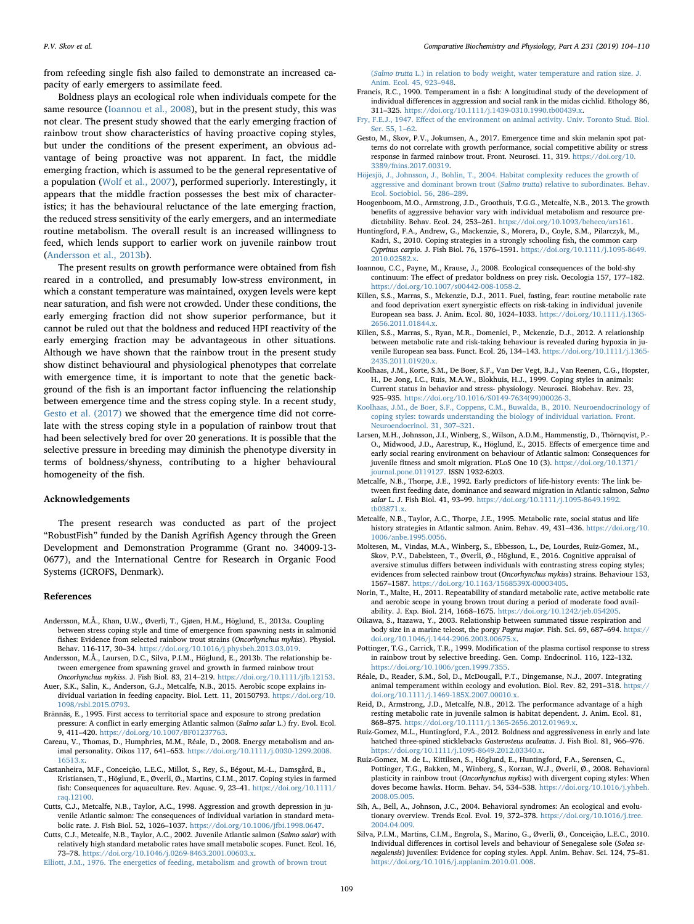from refeeding single fish also failed to demonstrate an increased capacity of early emergers to assimilate feed.

Boldness plays an ecological role when individuals compete for the same resource ([Ioannou et al., 2008](#page-5-30)), but in the present study, this was not clear. The present study showed that the early emerging fraction of rainbow trout show characteristics of having proactive coping styles, but under the conditions of the present experiment, an obvious advantage of being proactive was not apparent. In fact, the middle emerging fraction, which is assumed to be the general representative of a population ([Wolf et al., 2007](#page-6-0)), performed superiorly. Interestingly, it appears that the middle fraction possesses the best mix of characteristics; it has the behavioural reluctance of the late emerging fraction, the reduced stress sensitivity of the early emergers, and an intermediate routine metabolism. The overall result is an increased willingness to feed, which lends support to earlier work on juvenile rainbow trout ([Andersson et al., 2013b](#page-5-31)).

The present results on growth performance were obtained from fish reared in a controlled, and presumably low-stress environment, in which a constant temperature was maintained, oxygen levels were kept near saturation, and fish were not crowded. Under these conditions, the early emerging fraction did not show superior performance, but it cannot be ruled out that the boldness and reduced HPI reactivity of the early emerging fraction may be advantageous in other situations. Although we have shown that the rainbow trout in the present study show distinct behavioural and physiological phenotypes that correlate with emergence time, it is important to note that the genetic background of the fish is an important factor influencing the relationship between emergence time and the stress coping style. In a recent study, [Gesto et al. \(2017\)](#page-5-32) we showed that the emergence time did not correlate with the stress coping style in a population of rainbow trout that had been selectively bred for over 20 generations. It is possible that the selective pressure in breeding may diminish the phenotype diversity in terms of boldness/shyness, contributing to a higher behavioural homogeneity of the fish.

## Acknowledgements

The present research was conducted as part of the project "RobustFish" funded by the Danish Agrifish Agency through the Green Development and Demonstration Programme (Grant no. 34009-13- 0677), and the International Centre for Research in Organic Food Systems (ICROFS, Denmark).

#### References

- <span id="page-5-6"></span>Andersson, M.Å., Khan, U.W., Øverli, T., Gjøen, H.M., Höglund, E., 2013a. Coupling between stress coping style and time of emergence from spawning nests in salmonid fishes: Evidence from selected rainbow trout strains (Oncorhynchus mykiss). Physiol. Behav. 116-117, 30–34. <https://doi.org/10.1016/j.physbeh.2013.03.019>.
- <span id="page-5-31"></span>Andersson, M.Å., Laursen, D.C., Silva, P.I.M., Höglund, E., 2013b. The relationship between emergence from spawning gravel and growth in farmed rainbow trout Oncorhynchus mykiss. J. Fish Biol. 83, 214–219. [https://doi.org/10.1111/jfb.12153.](https://doi.org/10.1111/jfb.12153)
- <span id="page-5-16"></span>Auer, S.K., Salin, K., Anderson, G.J., Metcalfe, N.B., 2015. Aerobic scope explains individual variation in feeding capacity. Biol. Lett. 11, 20150793. [https://doi.org/10.](https://doi.org/10.1098/rsbl.2015.0793) [1098/rsbl.2015.0793.](https://doi.org/10.1098/rsbl.2015.0793)
- <span id="page-5-9"></span>Brännäs, E., 1995. First access to territorial space and exposure to strong predation pressure: A conflict in early emerging Atlantic salmon (Salmo salar L.) fry. Evol. Ecol. 9, 411–420. <https://doi.org/10.1007/BF01237763>.
- <span id="page-5-24"></span>Careau, V., Thomas, D., Humphries, M.M., Réale, D., 2008. Energy metabolism and animal personality. Oikos 117, 641–653. [https://doi.org/10.1111/j.0030-1299.2008.](https://doi.org/10.1111/j.0030-1299.2008.16513.x) [16513.x.](https://doi.org/10.1111/j.0030-1299.2008.16513.x)
- <span id="page-5-2"></span>Castanheira, M.F., Conceição, L.E.C., Millot, S., Rey, S., Bégout, M.-L., Damsgård, B., Kristiansen, T., Höglund, E., Øverli, Ø., Martins, C.I.M., 2017. Coping styles in farmed fish: Consequences for aquaculture. Rev. Aquac. 9, 23–41. [https://doi.org/10.1111/](https://doi.org/10.1111/raq.12100) [raq.12100.](https://doi.org/10.1111/raq.12100)
- <span id="page-5-11"></span>Cutts, C.J., Metcalfe, N.B., Taylor, A.C., 1998. Aggression and growth depression in juvenile Atlantic salmon: The consequences of individual variation in standard metabolic rate. J. Fish Biol. 52, 1026–1037. [https://doi.org/10.1006/jfbi.1998.0647.](https://doi.org/10.1006/jfbi.1998.0647)
- <span id="page-5-15"></span>Cutts, C.J., Metcalfe, N.B., Taylor, A.C., 2002. Juvenile Atlantic salmon (Salmo salar) with relatively high standard metabolic rates have small metabolic scopes. Funct. Ecol. 16, 73–78. <https://doi.org/10.1046/j.0269-8463.2001.00603.x>.

<span id="page-5-13"></span>[Elliott, J.M., 1976. The energetics of feeding, metabolism and growth of brown trout](http://refhub.elsevier.com/S1095-6433(18)30230-7/rf0045)

(Salmo trutta [L.\) in relation to body weight, water temperature and ration size. J.](http://refhub.elsevier.com/S1095-6433(18)30230-7/rf0045) [Anim. Ecol. 45, 923](http://refhub.elsevier.com/S1095-6433(18)30230-7/rf0045)–948.

- <span id="page-5-3"></span>Francis, R.C., 1990. Temperament in a fish: A longitudinal study of the development of individual differences in aggression and social rank in the midas cichlid. Ethology 86, 311–325. [https://doi.org/10.1111/j.1439-0310.1990.tb00439.x.](https://doi.org/10.1111/j.1439-0310.1990.tb00439.x)
- <span id="page-5-12"></span>Fry, F.E.J., 1947. Eff[ect of the environment on animal activity. Univ. Toronto Stud. Biol.](http://refhub.elsevier.com/S1095-6433(18)30230-7/rf0055) [Ser. 55, 1](http://refhub.elsevier.com/S1095-6433(18)30230-7/rf0055)–62.
- <span id="page-5-32"></span>Gesto, M., Skov, P.V., Jokumsen, A., 2017. Emergence time and skin melanin spot patterns do not correlate with growth performance, social competitive ability or stress response in farmed rainbow trout. Front. Neurosci. 11, 319. [https://doi.org/10.](https://doi.org/10.3389/fnins.2017.00319) [3389/fnins.2017.00319.](https://doi.org/10.3389/fnins.2017.00319)
- <span id="page-5-29"></span>[Höjesjö, J., Johnsson, J., Bohlin, T., 2004. Habitat complexity reduces the growth of](http://refhub.elsevier.com/S1095-6433(18)30230-7/rf0065) [aggressive and dominant brown trout \(](http://refhub.elsevier.com/S1095-6433(18)30230-7/rf0065)Salmo trutta) relative to subordinates. Behav. Ecol. [Sociobiol. 56, 286](http://refhub.elsevier.com/S1095-6433(18)30230-7/rf0065)–289.
- <span id="page-5-27"></span>Hoogenboom, M.O., Armstrong, J.D., Groothuis, T.G.G., Metcalfe, N.B., 2013. The growth benefits of aggressive behavior vary with individual metabolism and resource predictability. Behav. Ecol. 24, 253–261. [https://doi.org/10.1093/beheco/ars161.](https://doi.org/10.1093/beheco/ars161)
- <span id="page-5-10"></span>Huntingford, F.A., Andrew, G., Mackenzie, S., Morera, D., Coyle, S.M., Pilarczyk, M., Kadri, S., 2010. Coping strategies in a strongly schooling fish, the common carp Cyprinus carpio. J. Fish Biol. 76, 1576–1591. [https://doi.org/10.1111/j.1095-8649.](https://doi.org/10.1111/j.1095-8649.2010.02582.x) [2010.02582.x.](https://doi.org/10.1111/j.1095-8649.2010.02582.x)
- <span id="page-5-30"></span>Ioannou, C.C., Payne, M., Krause, J., 2008. Ecological consequences of the bold-shy continuum: The effect of predator boldness on prey risk. Oecologia 157, 177–182. [https://doi.org/10.1007/s00442-008-1058-2.](https://doi.org/10.1007/s00442-008-1058-2)
- <span id="page-5-26"></span>Killen, S.S., Marras, S., Mckenzie, D.J., 2011. Fuel, fasting, fear: routine metabolic rate and food deprivation exert synergistic effects on risk-taking in individual juvenile European sea bass. J. Anim. Ecol. 80, 1024–1033. [https://doi.org/10.1111/j.1365-](https://doi.org/10.1111/j.1365-2656.2011.01844.x) [2656.2011.01844.x.](https://doi.org/10.1111/j.1365-2656.2011.01844.x)
- <span id="page-5-14"></span>Killen, S.S., Marras, S., Ryan, M.R., Domenici, P., Mckenzie, D.J., 2012. A relationship between metabolic rate and risk-taking behaviour is revealed during hypoxia in juvenile European sea bass. Funct. Ecol. 26, 134–143. [https://doi.org/10.1111/j.1365-](https://doi.org/10.1111/j.1365-2435.2011.01920.x) [2435.2011.01920.x.](https://doi.org/10.1111/j.1365-2435.2011.01920.x)
- <span id="page-5-5"></span>Koolhaas, J.M., Korte, S.M., De Boer, S.F., Van Der Vegt, B.J., Van Reenen, C.G., Hopster, H., De Jong, I.C., Ruis, M.A.W., Blokhuis, H.J., 1999. Coping styles in animals: Current status in behavior and stress- physiology. Neurosci. Biobehav. Rev. 23, 925–935. [https://doi.org/10.1016/S0149-7634\(99\)00026-3.](https://doi.org/10.1016/S0149-7634(99)00026-3)
- <span id="page-5-19"></span>[Koolhaas, J.M., de Boer, S.F., Coppens, C.M., Buwalda, B., 2010. Neuroendocrinology of](http://refhub.elsevier.com/S1095-6433(18)30230-7/rf0100) [coping styles: towards understanding the biology of individual variation. Front.](http://refhub.elsevier.com/S1095-6433(18)30230-7/rf0100) [Neuroendocrinol. 31, 307](http://refhub.elsevier.com/S1095-6433(18)30230-7/rf0100)–321.
- <span id="page-5-1"></span>Larsen, M.H., Johnsson, J.I., Winberg, S., Wilson, A.D.M., Hammenstig, D., Thörnqvist, P.- O., Midwood, J.D., Aarestrup, K., Höglund, E., 2015. Effects of emergence time and early social rearing environment on behaviour of Atlantic salmon: Consequences for juvenile fitness and smolt migration. PLoS One 10 (3). [https://doi.org/10.1371/](https://doi.org/10.1371/journal.pone.0119127) [journal.pone.0119127.](https://doi.org/10.1371/journal.pone.0119127) ISSN 1932-6203.
- <span id="page-5-7"></span>Metcalfe, N.B., Thorpe, J.E., 1992. Early predictors of life-history events: The link between first feeding date, dominance and seaward migration in Atlantic salmon, Salmo salar L. J. Fish Biol. 41, 93–99. [https://doi.org/10.1111/j.1095-8649.1992.](https://doi.org/10.1111/j.1095-8649.1992.tb03871.x) [tb03871.x](https://doi.org/10.1111/j.1095-8649.1992.tb03871.x).
- <span id="page-5-8"></span>Metcalfe, N.B., Taylor, A.C., Thorpe, J.E., 1995. Metabolic rate, social status and life history strategies in Atlantic salmon. Anim. Behav. 49, 431–436. [https://doi.org/10.](https://doi.org/10.1006/anbe.1995.0056) [1006/anbe.1995.0056.](https://doi.org/10.1006/anbe.1995.0056)
- <span id="page-5-23"></span>Moltesen, M., Vindas, M.A., Winberg, S., Ebbesson, L., De, Lourdes, Ruiz-Gomez, M., Skov, P.V., Dabelsteen, T., Øverli, Ø., Höglund, E., 2016. Cognitive appraisal of aversive stimulus differs between individuals with contrasting stress coping styles; evidences from selected rainbow trout (Oncorhynchus mykiss) strains. Behaviour 153, 1567–1587. <https://doi.org/10.1163/1568539X-00003405>.
- <span id="page-5-17"></span>Norin, T., Malte, H., 2011. Repeatability of standard metabolic rate, active metabolic rate and aerobic scope in young brown trout during a period of moderate food availability. J. Exp. Biol. 214, 1668–1675. <https://doi.org/10.1242/jeb.054205>.
- <span id="page-5-25"></span>Oikawa, S., Itazawa, Y., 2003. Relationship between summated tissue respiration and body size in a marine teleost, the porgy Pagrus major. Fish. Sci. 69, 687–694. [https://](https://doi.org/10.1046/j.1444-2906.2003.00675.x) [doi.org/10.1046/j.1444-2906.2003.00675.x.](https://doi.org/10.1046/j.1444-2906.2003.00675.x)
- <span id="page-5-22"></span>Pottinger, T.G., Carrick, T.R., 1999. Modification of the plasma cortisol response to stress in rainbow trout by selective breeding. Gen. Comp. Endocrinol. 116, 122–132. [https://doi.org/10.1006/gcen.1999.7355.](https://doi.org/10.1006/gcen.1999.7355)
- <span id="page-5-20"></span>Réale, D., Reader, S.M., Sol, D., McDougall, P.T., Dingemanse, N.J., 2007. Integrating animal temperament within ecology and evolution. Biol. Rev. 82, 291–318. [https://](https://doi.org/10.1111/j.1469-185X.2007.00010.x) [doi.org/10.1111/j.1469-185X.2007.00010.x.](https://doi.org/10.1111/j.1469-185X.2007.00010.x)
- <span id="page-5-28"></span>Reid, D., Armstrong, J.D., Metcalfe, N.B., 2012. The performance advantage of a high resting metabolic rate in juvenile salmon is habitat dependent. J. Anim. Ecol. 81, 868–875. <https://doi.org/10.1111/j.1365-2656.2012.01969.x>.
- <span id="page-5-0"></span>Ruiz-Gomez, M.L., Huntingford, F.A., 2012. Boldness and aggressiveness in early and late hatched three-spined sticklebacks Gasterosteus aculeatus. J. Fish Biol. 81, 966–976. [https://doi.org/10.1111/j.1095-8649.2012.03340.x.](https://doi.org/10.1111/j.1095-8649.2012.03340.x)
- <span id="page-5-18"></span>Ruiz-Gomez, M. de L., Kittilsen, S., Höglund, E., Huntingford, F.A., Sørensen, C., Pottinger, T.G., Bakken, M., Winberg, S., Korzan, W.J., Øverli, Ø., 2008. Behavioral plasticity in rainbow trout (Oncorhynchus mykiss) with divergent coping styles: When doves become hawks. Horm. Behav. 54, 534-538. [https://doi.org/10.1016/j.yhbeh.](https://doi.org/10.1016/j.yhbeh.2008.05.005) [2008.05.005](https://doi.org/10.1016/j.yhbeh.2008.05.005).
- <span id="page-5-4"></span>Sih, A., Bell, A., Johnson, J.C., 2004. Behavioral syndromes: An ecological and evolutionary overview. Trends Ecol. Evol. 19, 372–378. [https://doi.org/10.1016/j.tree.](https://doi.org/10.1016/j.tree.2004.04.009) [2004.04.009](https://doi.org/10.1016/j.tree.2004.04.009).
- <span id="page-5-21"></span>Silva, P.I.M., Martins, C.I.M., Engrola, S., Marino, G., Øverli, Ø., Conceição, L.E.C., 2010. Individual differences in cortisol levels and behaviour of Senegalese sole (Solea senegalensis) juveniles: Evidence for coping styles. Appl. Anim. Behav. Sci. 124, 75–81. <https://doi.org/10.1016/j.applanim.2010.01.008>.